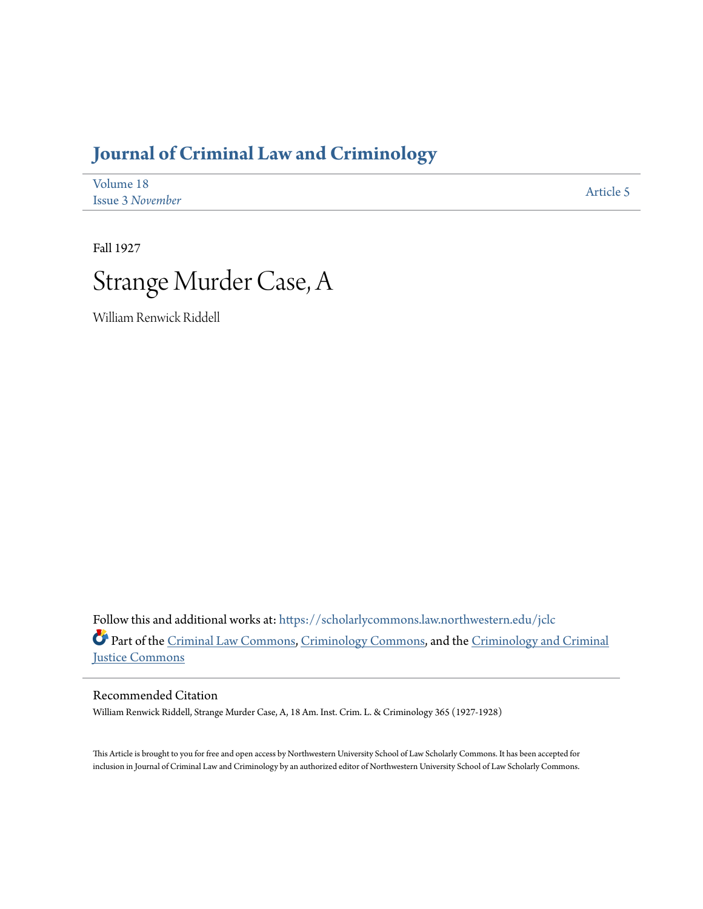## **[Journal of Criminal Law and Criminology](https://scholarlycommons.law.northwestern.edu/jclc?utm_source=scholarlycommons.law.northwestern.edu%2Fjclc%2Fvol18%2Fiss3%2F5&utm_medium=PDF&utm_campaign=PDFCoverPages)**

| Volume 18        | Article 5 |
|------------------|-----------|
| Issue 3 November |           |

Fall 1927



William Renwick Riddell

Follow this and additional works at: [https://scholarlycommons.law.northwestern.edu/jclc](https://scholarlycommons.law.northwestern.edu/jclc?utm_source=scholarlycommons.law.northwestern.edu%2Fjclc%2Fvol18%2Fiss3%2F5&utm_medium=PDF&utm_campaign=PDFCoverPages) Part of the [Criminal Law Commons](http://network.bepress.com/hgg/discipline/912?utm_source=scholarlycommons.law.northwestern.edu%2Fjclc%2Fvol18%2Fiss3%2F5&utm_medium=PDF&utm_campaign=PDFCoverPages), [Criminology Commons](http://network.bepress.com/hgg/discipline/417?utm_source=scholarlycommons.law.northwestern.edu%2Fjclc%2Fvol18%2Fiss3%2F5&utm_medium=PDF&utm_campaign=PDFCoverPages), and the [Criminology and Criminal](http://network.bepress.com/hgg/discipline/367?utm_source=scholarlycommons.law.northwestern.edu%2Fjclc%2Fvol18%2Fiss3%2F5&utm_medium=PDF&utm_campaign=PDFCoverPages) [Justice Commons](http://network.bepress.com/hgg/discipline/367?utm_source=scholarlycommons.law.northwestern.edu%2Fjclc%2Fvol18%2Fiss3%2F5&utm_medium=PDF&utm_campaign=PDFCoverPages)

Recommended Citation

William Renwick Riddell, Strange Murder Case, A, 18 Am. Inst. Crim. L. & Criminology 365 (1927-1928)

This Article is brought to you for free and open access by Northwestern University School of Law Scholarly Commons. It has been accepted for inclusion in Journal of Criminal Law and Criminology by an authorized editor of Northwestern University School of Law Scholarly Commons.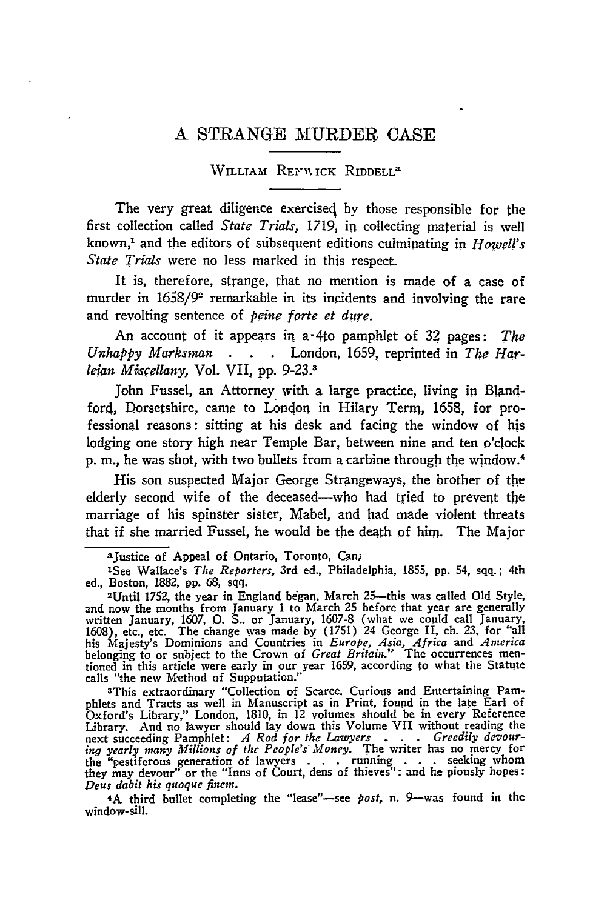## **A STRANGE MURDER CASE**

## WILLIAM RENVICK RIDDELL<sup>a</sup>

The very great diligence exercised by those responsible for the first collection called *State Trials,* 1719, in collecting material is well known,<sup>1</sup> and the editors of subsequent editions culminating in *Howell's State Trials* were no less marked in this respect.

It is, therefore, strange, that no mention is made of a case of murder in 1658/9<sup>2</sup> remarkable in its incidents and involving the rare and revolting sentence of *peine forte et dure*.

An account of it appears in a-4to pamphlet of 32 pages: *The* Unhabby Marksman . . . London, 1659, reprinted in *The Harletan Micellany,* Vol. VII, **pp.** 9-23. <sup>3</sup>

John Fussel, an Attorney with a large pract'ce, living in Blandford, Dorsetshire, came to London in Hilary Term, 1658, for professional reasons: sitting at his desk and facing the window of his lodging one story high near Temple Bar, between nine and ten o'clock p. m., he was shot, with two bullets from a carbine through the window.4

His son suspected Major George Strangeways, the brother of the elderly second wife of the deceased-who had tried to prevent the marriage of his spinster sister, Mabel, and had made violent threats that if she married Fussel, he would be the death of him. The Major

3This extraordinary "Collection of Scarce, Curious and Entertaining Pam-phlets and Tracts as well in Manuscript as in Print, found in the late Earl of Oxford's Library," London, **1810,** in 12 volumes should be in every Reference Library. And no lawyer should lay down this Volume VII without reading the next succeeding Pamphlet: *A Rod for the Lawyers . . Greedily devouring yearly many Millions of the People's Money.* The writer has no mercy for the "pestiferous generation of lawyers **. . .** running **. . .** seeking whom they may devour" or the "Inns of Court, dens of thieves": and he piously hopes: *Deus dabit his quoque fincm.*

4A third bullet completing the "lease"-see *post,* n. 9-was found in the window-sill.

aJustice of Appeal of Ontario, Toronto, Canj

<sup>&#</sup>x27;See Wallace's *The Reporters,* 3rd ed., Philadelphia, **1855, pp.** 54, sqq.; 4th ed., Boston, **1882, pp. 68,** sqq.

<sup>2</sup>Until **1752,** the year in England began. March 25-this was called **Old** Style, and now the months from January **1** to March **25** before that year are generally written January, **1607, 0. S..** or January, **1607-8** (what we could call January, **1608),** etc., etc. The change was made **by (1751)** 24 George II, ch. **23,** for "all his Majesty's Dominions and Countries in *Europe, Asia, Africa and America* belonging to or subject to the Crown of *Great Britain."* The occurrences mentioned in this article were early in our year **1659,** according to what the Statute calls "the new Method of Supputation."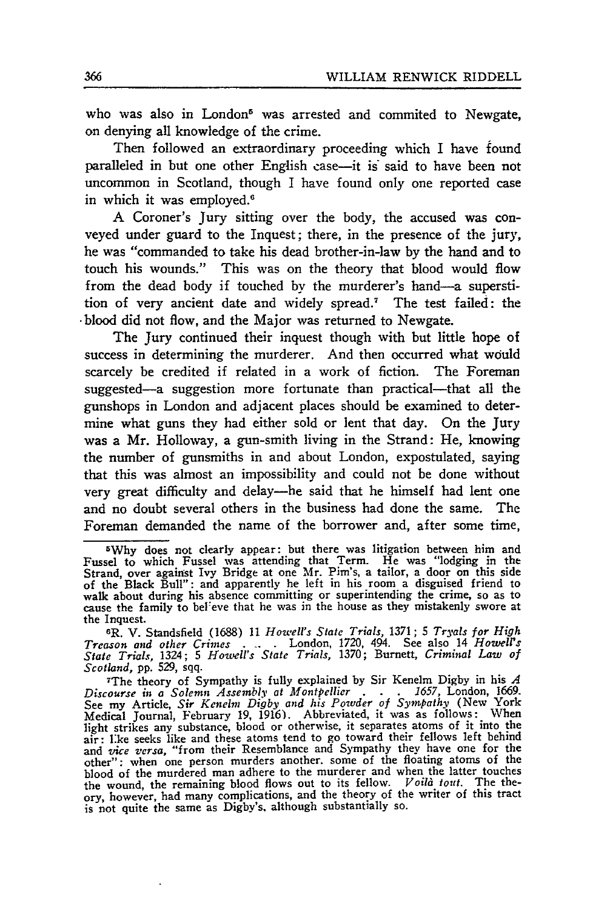who was also in London<sup>5</sup> was arrested and commited to Newgate, on denying all knowledge of the crime.

Then followed an extraordinary proceeding which I have found paralleled in but one other English case-it is' said to have been not uncommon in Scotland, though I have found only one reported case in which it was employed.<sup>6</sup>

A Coroner's Jury sitting over the body, the accused was conveyed under guard to the Inquest; there, in the presence of the jury, he was "commanded to take his dead brother-in-law by the hand and to touch his wounds." This was on the theory that blood would flow from the dead body if touched by the murderer's hand-a superstition of very ancient date and widely spread.7 The test failed: the -blood did not flow, and the Major was returned to Newgate.

The Jury continued their inquest though with but little hope of success in determining the murderer. And then occurred what would scarcely be credited if related in a work of fiction. The Foreman suggested-a suggestion more fortunate than practical-that all the gunshops in London and adjacent places should be examined to determine what guns they had either sold or lent that day. On the Jury was a Mr. Holloway, a gun-smith living in the Strand: He, knowing the number of gunsmiths in and about London, expostulated, saying that this was almost an impossibility and could not be done without very great difficulty and delay-he said that he himself had lent one and no doubt several others in the business had done the same. The Foreman demanded the name of the borrower and, after some time,

<sup>5</sup>Why does not clearly appear: but there was litigation between him and Fussel to which Fussel was attending that Term. He was "lodging in the Strand, over against Ivy Bridge at one Mr. Pim's, a tailor, a door on this side of the Black Bull": and apparently he left in his room a disguised friend to walk about during his absence committing or superintending the crime, so as to cause the family to beI-eve that he was in the house as they mistakenly swore at the Inquest.

**<sup>6</sup>R.** V. Standsfield (1688) 11 *Howell's State Trials,* 1371 ; 5 *Tryals for High Treason and other Crimes ..* . London, 1720, 494. See also 14 *Howell's State Trials,* 1324; 5 *Howell's State Trials,* 1370; Burnett, *Criminal Law of Scotland,* **pp.** 529, sqq.

<sup>7</sup>The theory of Sympathy is fully explained by Sir Kenelm Digby in his *A Discourse in a Solemn Assembly at Montpellier* **. . .** *1657,* London, 1669. See my Article, *Sir Kenelm Digby and his Powder of Sympathy* (New York Medical Journal, February 19, 1916). Abbreviated, it was as follows: When light strikes any substance, blood or otherwise, it separates atoms of it into the air: ike seeks like and these atoms tend to go toward their fellows left behind and *vice versa,* "from their Resemblance and Sympathy they have one for the other": when one person murders another. some of the floating atoms of the blood of the murdered man adhere to the murderer and when the latter touches the wound, the remaining blood flows out to its fellow. *Voild tout.* The theory, however, had many complications, and the theory of the writer of this tract is not quite the same as Digby's, although substantially so.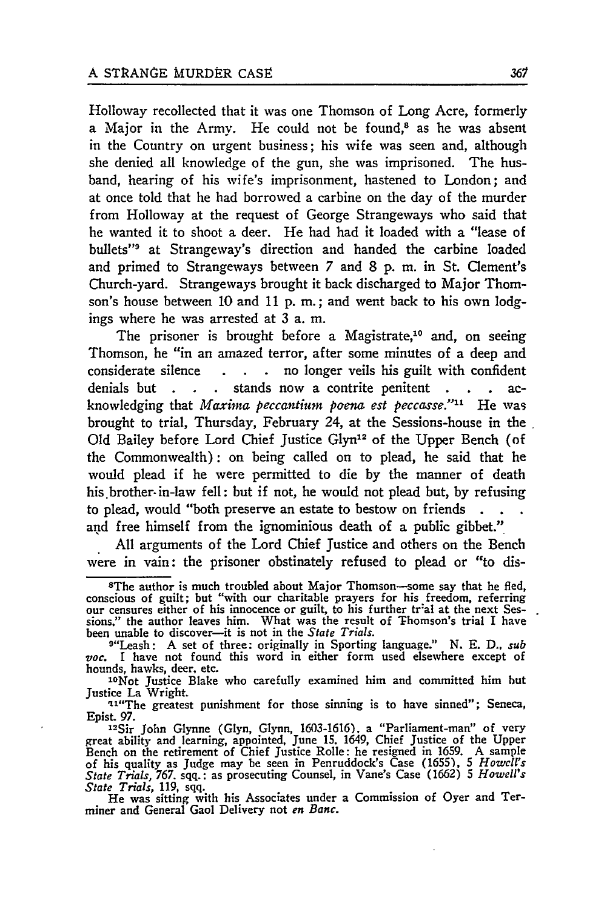Holloway recollected that it was one Thomson of Long Acre, formerly a Major in the Army. He could not be found,<sup>8</sup> as he was absent in the Country on urgent business; his wife was seen and, although she denied all knowledge of the gun, she was imprisoned. The husband, hearing of his wife's imprisonment, hastened to London; and at once told that he had borrowed a carbine on the day of the murder from Holloway at the request of George Strangeways who said that he wanted it to shoot a deer. He had had it loaded with a "lease of bullets"<sup>9</sup> at Strangeway's direction and handed the carbine loaded and primed to Strangeways between 7 and 8 p. m. in St. Clement's Church-yard. Strangeways brought it back discharged to Major Thomson's house between 10 and 11 p. m. **;** and went back to his own lodgings where he was arrested at 3 a. m.

The prisoner is brought before a Magistrate,<sup>10</sup> and, on seeing Thomson, he "in an amazed terror, after some minutes of a deep and considerate silence **. .** no longer veils his guilt with confident denials but **. . .** stands now a contrite penitent **. . .** acknowledging that *Maxima peccantium* poena *est peccasse."I "* He was brought to trial, Thursday, February 24, at the Sessions-house in the Old Bailey before Lord Chief Justice Glyn<sup>12</sup> of the Upper Bench (of the Commonwealth): on being called on to plead, he said that he would plead if he were permitted to die by the manner of death his brother-in-law fell: but if not, he would not plead but, by refusing to plead, would "both preserve an estate to bestow on friends and free himself from the ignominious death of a public gibbet."

All arguments of the Lord Chief Justice and others on the Bench were in vain: the prisoner obstinately refused to plead or "to dis-

<sup>&</sup>lt;sup>8</sup>The author is much troubled about Major Thomson-some say that he fled conscious of guilt; but "with our charitable prayers for his freedom, referring<br>our censures either of his innocence or guilt, to his further tr'al at the next Ses-<br>sions," the author leaves him. What was the result of Tho been unable to discover-it is not in the *State Trials.*

<sup>9&</sup>quot;Leash: A set of three: originally in Sporting language." N. E. **D..** *sub* voc. I have not found this word in either form used elsewhere except of hounds, hawks, deer, etc.

<sup>&</sup>lt;sup>10</sup>Not Justice Blake who carefully examined him and committed him but Justice La Wright.

<sup>11&</sup>quot;The greatest punishment for those sinning is to have sinned"; Seneca, Epist. **97.**

<sup>12</sup>Sir John Glynne (Glyn, Glynn, 1603-1616). a "Parliament-man" **of** very great ability and learning, appointed, June **15.** 1649, Chief Justice of the Upper Bench on the retirement of Chief Justice Rolle: he resigned in 1659. A sample of his quality as Judge may be seen in Penruddock's Case (1655), 5 *Howell's State Trials, 767.* sqq.: as prosecuting Counsel, in Vane's Case (1662) **5** *Howell's*

*State Trials,* 119, sqq. He was sitting with his Associates under a Commission of Oyer and Terminer and General Gaol Delivery not *en Banc.*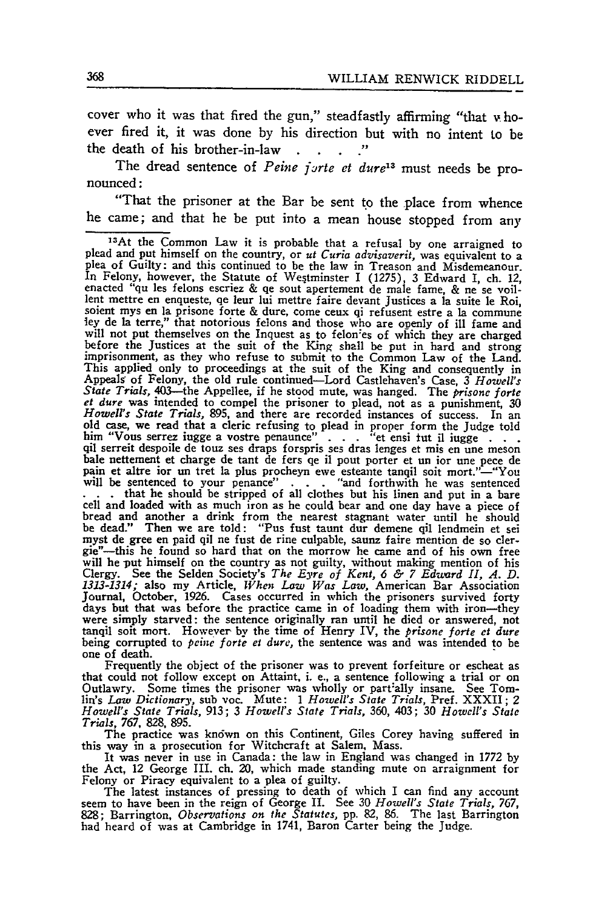cover who it was that fired the gun," steadfastly affirming "that v hoever fired it, it was done by his direction but with no intent Lo be the death of his brother-in-law

The dread sentence of *Peine jorte et dure*<sup>13</sup> must needs be pronounced:

"That the prisoner at the Bar be sent **to** the place from whence he came; and that he be put into a mean house stopped from any

Frequently the object of the prisoner was to prevent forfeiture or escheat as that could not follow except on Attaint, i. e., a sentence following a trial or on Outlawry. Some times the prisoner was wholly or partially ins lin's *Law Dictionary,* sub voc. Mute: **1** *Howell's State Trials,* Pref. XXXII; 2 *Howell's State Trials,* 913; 3 *Howell's State Trials,* 360, 403; 30 *Howell's State Trials,* 767, 828, 895.

The practice was known on this Continent, Giles Corey having suffered in this way in a prosecution for Witchcraft at Salem, Mass.

It was never in use in Canada: the law in England was changed in 1772 by the Act, 12 George III. ch. 20, which made standing mute on arraignment for Felony or Piracy equivalent to a plea of guilty.

The latest instances of pressing to death of which I can find any account<br>seem to have been in the reign of George II. See 30 Howell's State Trials, 767,<br>828; Barrington, Observations on the Statutes, pp. 82, 86. The last

<sup>1</sup> 3 At the Common Law it is probable that a refusal **by** one arraigned to plead and put himself on the country, or *ut Curia advisaverit*, was equivalent to a plea of Guilty: and this continued to be the law in Treason and Misdemeanour. In Felony, however, the Statute of Westminster I (1275), 3 Edward I, ch. 12, enacted "qu les felons escriez & qe sout apertement de male fame, & ne se voillent mettre en enqueste, qe leur lui mettre faire devant Justices a la suite le Roisoient mys en la prisone forte & dure, come ceux qi refusent estre a la commune ley de la terre," that notorious felons and those who are o will not put themselves on the Inquest as to felon'es of which they are charged<br>before the Justices at the suit of the King shall be put in hard and strong<br>imprisonment, as they who refuse to submit to the Common Law of th This applied only to proceedings at the suit of the King and consequently in Appeals of Felony, the old rule continued—Lord Castlehaven's Case, 3 Howell's State Trials, 403—the Appellee, if he stood mute, was hanged. The p *et dure* was intended to compel the prisoner to plead, not as a punishment, 30 *Howell's State Trials*, 895, and there are recorded instances of success. In an *Howell's State Trials,* 895, and there are recorded instances of success. In an old case, we read that a cleric refusing to plead in proper form the Judge told him "Vous serrez iugge a vostre penaunce"... "et ensi tut il iugge...<br>qil serreit despoile de touz ses draps forspris ses dras lenges et mis en une meson<br>bale nettement et charge de tant de fers qe il pout porter et un ior pain et altre ior un tret la plus procheyn ewe esteante tanqil soit mort."-"You will be sentenced to your penance" **. . .** 'and forthwith he was sentenced **. . .** that he should be stripped of all clothes but his linen and put in a bare cell and loaded with as much iron as he could bear and one day have a piece of bread and another a drink from the nearest stagnant water until he should be dead." Then we are told: "Pus fust taunt dur demene qil lendmein et sei myst de gree en paid qil ne fust de rine culpable, saunz faire mention de so cler-<br>gie"—this he found so hard that on the morrow he came and of his own free will he put himself on the country as not guilty, without making mention of his Clergy. See the Selden Society's *The Eyre of Kent*,  $6 \div 7$  *Eduard II, A. D.* 1313-1314; also my Article, *When Law Was Law*, American Bar Journal, October, 1926. Cases occurred in which the prisoners survived forty days but that was before the practice came in of loading them with iron—they were simply starved: the sentence originally ran until he died or an tanqil soit mort. However by the time of Henry IV, the *prisone forte et dure* being corrupted to *peine forte et dure,* the sentence was and was intended to be one of death.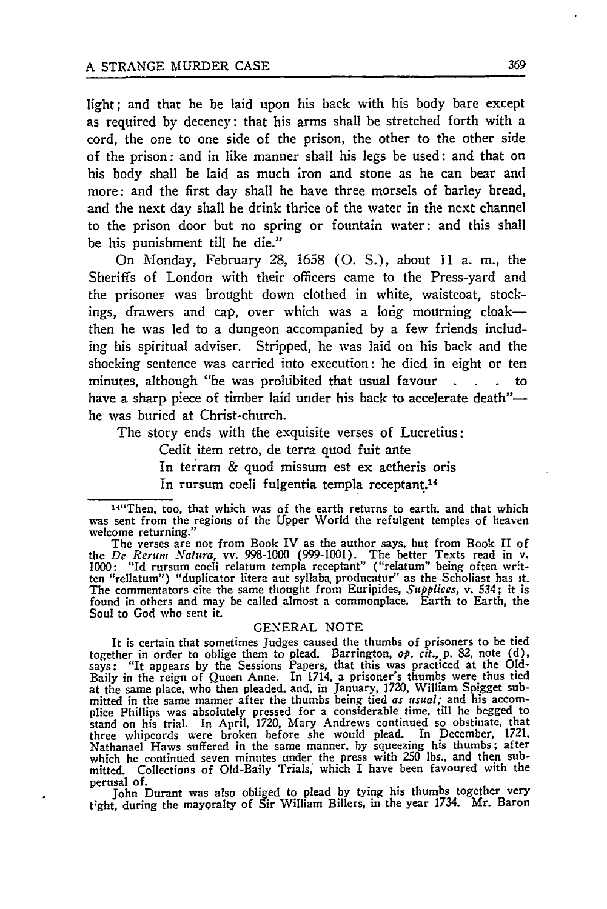light; and that he be laid upon his back with his body bare except as required by decency: that his arms shall be stretched forth with a cord, the one to one side of the prison, the other to the other side of the prison: and in like manner shall his legs be used: and that on his body shall be laid as much iron and stone as he can bear and more: and the first day shall he have three morsels of barley bread, and the next day shall he drink thrice of the water in the next channel to the prison door but no spring or fountain water: and this shall be his punishment till he die."

On Monday, February 28, 1658 **(0.** S.), about **11** a. **in.,** the Sheriffs of London with their officers came to the Press-yard and the prisoner was brought down clothed in white, waistcoat, stockings, drawers and cap, over which was a long mourning cloakthen he was led to a dungeon accompanied by a few friends including his spiritual adviser. Stripped, he was laid on his back and the shocking sentence was carried into execution: he died in eight or ten minutes, although "he was prohibited that usual favour **. .** to have a sharp piece of timber laid under his back to accelerate death"he was buried at Christ-church.

The story ends with the exquisite verses of Lucretius:

Cedit item retro, de terra quod fuit ante

In terram & quod missum est ex aetheris oris

In rursum coeli fulgentia templa receptant.<sup>14</sup>

The verses are not from Book IV as the author says, but from Book II of the *De Reruns* Natura, vv. **998-1000 (999-1001).** The better Texts read in v. **1000:** "Id rursum coeli relatum templa receptant" ("relatum" being often wr'tten "rellatum") "duplicator litera aut syllaba, producatur" as the Scholiast has **it.** The commentators cite the same thought from Euripides, *Supplices,* v. 534; it is found in others and may be called almost a commonplace. Earth to Earth, the Soul to God who sent it.

GENERAL NOTE<br>It is certain that sometimes Judges caused the thumbs of prisoners to be tied It is certain that sometimes Judges caused the thumbs of prisoners to be tied<br>together in order to oblige them to plead. Barrington,  $op. cit. p. 82$ , note (d)<br>says: "It appears by the Sessions Papers, that this was practiced at the same place, who then pleaded, and, in January, **1720,** William Spigget sub-mitted in the same manner after the thumbs being tied *as usual;* and his accomplice Phillips was absolutely pressed for a considerable time, till he begged to stand on his trial. In April, *1720,* Mary Andrews continued so obstinate, that three whipcords were broken before she would plead. In December, **1721,** Nathanael Haws suffered in the same manner, **by** squeezing his thumbs; after which he continued seven minutes under the press with **250** lbs., and then submitted. Collections of Old-Baily Trials; which I have been favoured with the perusal of.

John Durant was also obliged to plead **by** tying his thumbs together very t;ght, during the mayoralty of Sir William Billers, in the year 1734. Mr. Baron

<sup>&</sup>lt;sup>14"</sup>Then, too, that which was of the earth returns to earth, and that which was sent from the regions of the Upper World the refulgent temples of heaven welcome returning."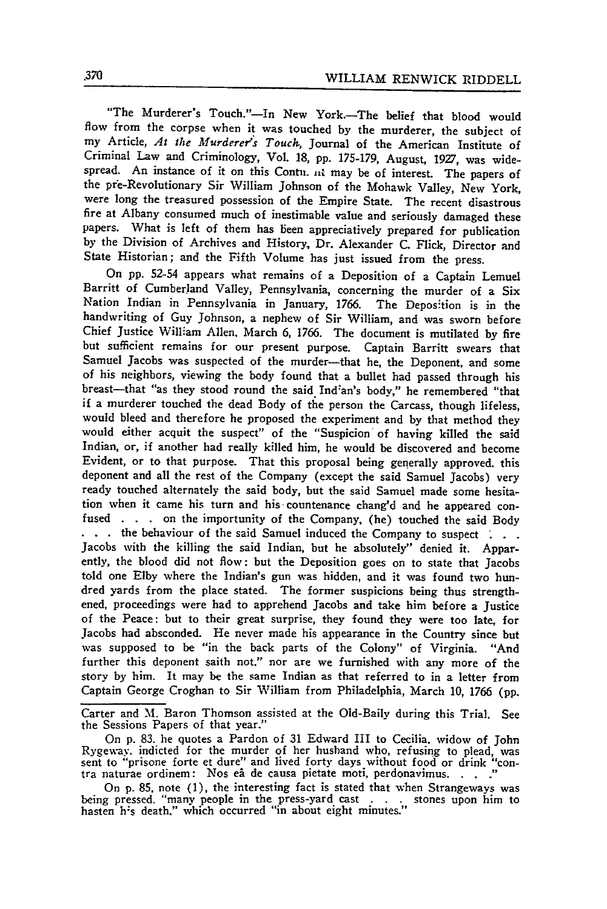"The Murderer's Touch."-In New York.-The belief that blood would flow from the corpse when it was touched by the murderer, the subject of my Article, *At the Murderer's Touch,* Journal of the American Institute of Criminal Law and Criminology, Vol. 18, pp. 175-179, August, **1927,** was widespread. An instance of it on this Contu. *in* may be of interest. The papers of the pfe-Revolutionary Sir William Johnson of the Mohawk Valley, New York, were long the treasured possession of the Empire State. The recent disastrous fire at Albany consumed much of inestimable value and seriously damaged these papers. What is left of them has been appreciatively prepared for publication by the Division of Archives and History, Dr. Alexander C. Flick, Director and State Historian; and the Fifth Volume has just issued from the press.

On pp. 52-54 appears what remains of a Deposition of a Captain Lemuel Barritt of Cumberland Valley, Pennsylvania, concerning the murder of a Six Nation Indian in Pennsylvania in January, 1766. The Deposition is in the handwriting of Guy Johnson, a nephew of Sir William, and was sworn before Chief Justice William Allen. March 6, 1766. The document is mutilated by fire but sufficient remains for our present purpose. Captain Barritt swears that Samuel Jacobs was suspected of the murder-that he, the Deponent, and some of his neighbors, viewing the body found that a bullet had passed through his breast-that "as they stood round the said Indian's body," he remembered "that if a murderer touched the dead Body of the person the Carcass, though lifeless, would bleed and therefore he proposed the experiment and by that method they would either acquit the suspect" of the "Suspicion of having killed the said Indian, or, if another had really killed him, he would be discovered and become Evident, or to that purpose. That this proposal being generally approved, this deponent and all the rest of the Company (except the said Samuel Jacobs) very ready touched alternately the said body, but the said Samuel made some hesitation when it came his turn and his-countenance chang'd and he appeared con fused **. . .** on the importunity of the Company, (he) touched the said Body . . . the behaviour of the said Samuel induced the Company to suspect . . . Jacobs with the killing the said Indian, but he absolutely" denied it. Apparently, the blood did not flow: but the Deposition goes on to state that Jacobs told one **Elby** where the Indian's gun was hidden, and it was found two hundred yards from the place stated. The former suspicions being thus strengthened, proceedings were had to apprehend Jacobs and take him before a Justice of the Peace: but to their great surprise, they found they were too late, for<br>Jacobs had absconded. He never made his appearance in the Country since but was supposed to be "in the back parts of the Colony" of Virginia. "And further this deponent saith not." nor are we furnished with any more of the story **by** him. It may be the same Indian as that referred to in a letter from Captain George Croghan to Sir William from Philadelphia, March **10, 1766** (pp.

Carter and **M.** Baron Thomson assisted at the Old-Baily during this Trial. See the Sessions Papers of that year."

On **p. 83.** he quotes a Pardon of **31** Edward III to Cecilia. widow of John Rygeay, indicted for the murder of her husband who, refusing to plead, was sent to "prisone forte et dure" and lived forty days without food or drink "con-Ary Sours. Indicate for the et dure. In the number of the causal intervals without food or drink "<br>tra naturae ordinem: Nos eâ de causa pietate moti, perdonavimus. . . ."

On p. 85, note (1), the interesting fact is stated that when Strangeways was<br>being pressed. "many people in the press-yard cast . . . stones upon him to<br>hasten h's death." which occurred "in about eight minutes."